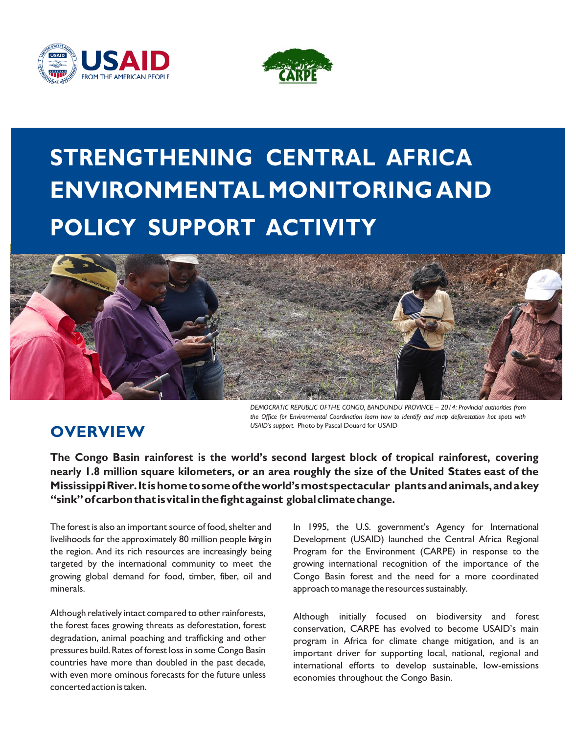



# **STRENGTHENING CENTRAL AFRICA ENVIRONMENTAL MONITORING AND POLICY SUPPORT ACTIVITY**



# **OVERVIEW**

*the Office for Environmental Coordination learn how to identify and map deforestation hot spots with USAID's support.* Photo by Pascal Douard for USAID

**The Congo Basin rainforest is the world's second largest block of tropical rainforest, covering nearly 1.8 million square kilometers, or an area roughly the size of the United States east of the MississippiRiver.It ishometosomeof theworld'smostspectacular plantsandanimals,andakey "sink"ofcarbonthat isvitalinthefightagainst globalclimatechange.**

The forest is also an important source of food, shelter and livelihoods for the approximately 80 million people living in the region. And its rich resources are increasingly being targeted by the international community to meet the growing global demand for food, timber, fiber, oil and minerals.

Although relatively intact compared to other rainforests, the forest faces growing threats as deforestation, forest degradation, animal poaching and trafficking and other pressures build.Rates of forest lossin some Congo Basin countries have more than doubled in the past decade, with even more ominous forecasts for the future unless concertedactionistaken.

In 1995, the U.S. government's Agency for International Development (USAID) launched the Central Africa Regional Program for the Environment (CARPE) in response to the growing international recognition of the importance of the Congo Basin forest and the need for a more coordinated approach to manage the resources sustainably.

Although initially focused on biodiversity and forest conservation, CARPE has evolved to become USAID's main program in Africa for climate change mitigation, and is an important driver for supporting local, national, regional and international efforts to develop sustainable, low-emissions economies throughout the Congo Basin.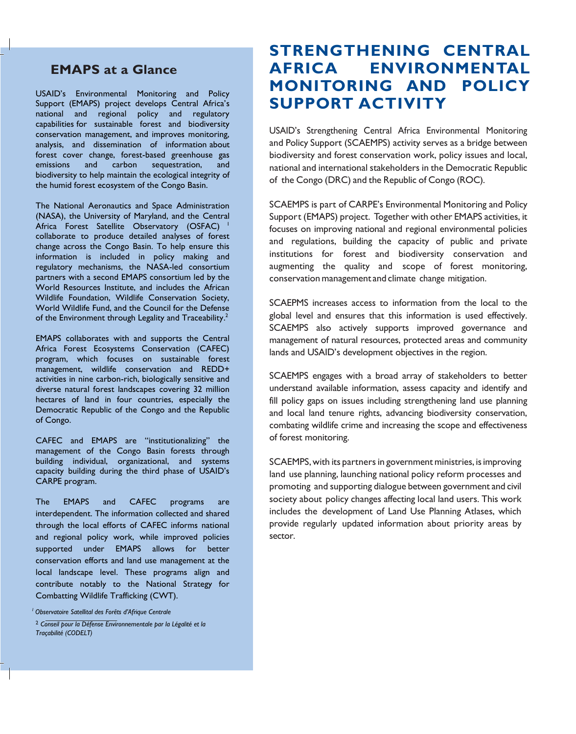#### **EMAPS at a Glance**

USAID's Environmental Monitoring and Policy Support (EMAPS) project develops Central Africa's national and regional policy and regulatory capabilities for sustainable forest and biodiversity conservation management, and improves monitoring, analysis, and dissemination of information about forest cover change, forest-based greenhouse gas emissions and carbon sequestration, and biodiversity to help maintain the ecological integrity of the humid forest ecosystem of the Congo Basin.

The National Aeronautics and Space Administration (NASA), the University of Maryland, and the Central Africa Forest Satellite Observatory (OSFAC) <sup>1</sup> collaborate to produce detailed analyses of forest change across the Congo Basin. To help ensure this information is included in policy making and regulatory mechanisms, the NASA-led consortium partners with a second EMAPS consortium led by the World Resources Institute, and includes the African Wildlife Foundation, Wildlife Conservation Society, World Wildlife Fund, and the Council for the Defense of the Environment through Legality and Traceability.<sup>2</sup>

EMAPS collaborates with and supports the Central Africa Forest Ecosystems Conservation (CAFEC) program, which focuses on sustainable forest management, wildlife conservation and REDD+ activities in nine carbon-rich, biologically sensitive and diverse natural forest landscapes covering 32 million hectares of land in four countries, especially the Democratic Republic of the Congo and the Republic of Congo.

CAFEC and EMAPS are "institutionalizing" the management of the Congo Basin forests through building individual, organizational, and systems capacity building during the third phase of USAID's CARPE program.

The EMAPS and CAFEC programs are interdependent. The information collected and shared through the local efforts of CAFEC informs national and regional policy work, while improved policies supported under EMAPS allows for better conservation efforts and land use management at the local landscape level. These programs align and contribute notably to the National Strategy for Combatting Wildlife Trafficking (CWT).

*<sup>1</sup>Observatoire Satellital des Forêts d'Afrique Centrale*

### **STRENGTHENING CENTRAL AFRICA ENVIRONMENTAL MONITORING AND POLICY SUPPORT ACTIVITY**

USAID's Strengthening Central Africa Environmental Monitoring and Policy Support (SCAEMPS) activity serves as a bridge between biodiversity and forest conservation work, policy issues and local, national and international stakeholders in the Democratic Republic of the Congo (DRC) and the Republic of Congo (ROC).

SCAEMPS is part of CARPE's Environmental Monitoring and Policy Support (EMAPS) project. Together with other EMAPS activities, it focuses on improving national and regional environmental policies and regulations, building the capacity of public and private institutions for forest and biodiversity conservation and augmenting the quality and scope of forest monitoring, conservation management and climate change mitigation.

SCAEPMS increases access to information from the local to the global level and ensures that this information is used effectively. SCAEMPS also actively supports improved governance and management of natural resources, protected areas and community lands and USAID's development objectives in the region.

SCAEMPS engages with a broad array of stakeholders to better understand available information, assess capacity and identify and fill policy gaps on issues including strengthening land use planning and local land tenure rights, advancing biodiversity conservation, combating wildlife crime and increasing the scope and effectiveness of forest monitoring.

SCAEMPS, with its partners in government ministries, is improving land use planning, launching national policy reform processes and promoting and supporting dialogue between government and civil society about policy changes affecting local land users. This work includes the development of Land Use Planning Atlases, which provide regularly updated information about priority areas by sector.

<sup>2</sup> *Conseil pour la Défense Environnementale par la Légalité et la Traçabilité (CODELT)*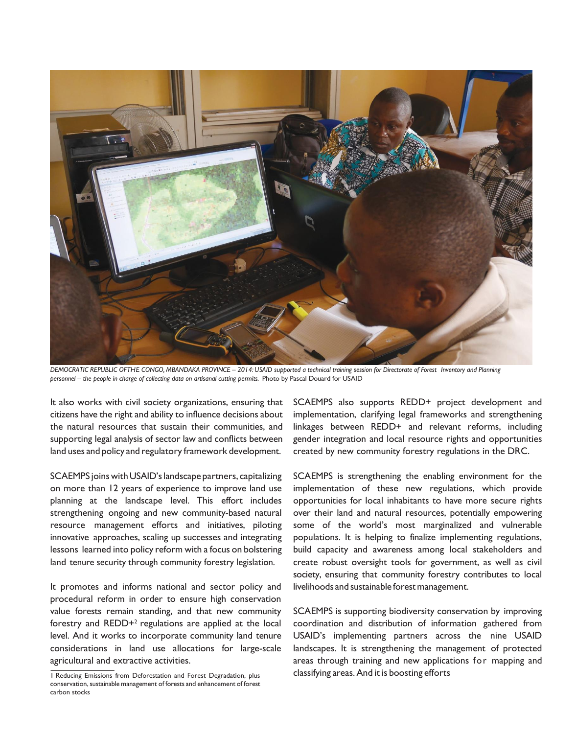

DEMOCRATIC REPUBLIC OFTHE CONGO, MBANDAKA PROVINCE - 2014: USAID supported a technical training session for Directorate of Forest Inventory and Planning *personnel – the people in charge of collecting data on artisanal cutting permits.* Photo by Pascal Douard for USAID

It also works with civil society organizations, ensuring that citizens have the right and ability to influence decisions about the natural resources that sustain their communities, and supporting legal analysis of sector law and conflicts between land uses and policy and regulatory framework development.

SCAEMPS joins with USAID'slandscape partners, capitalizing on more than 12 years of experience to improve land use planning at the landscape level. This effort includes strengthening ongoing and new community-based natural resource management efforts and initiatives, piloting innovative approaches, scaling up successes and integrating lessons learned into policy reform with a focus on bolstering land tenure security through community forestry legislation.

It promotes and informs national and sector policy and procedural reform in order to ensure high conservation value forests remain standing, and that new community forestry and REDD+<sup>2</sup> regulations are applied at the local level. And it works to incorporate community land tenure considerations in land use allocations for large-scale agricultural and extractive activities.

SCAEMPS also supports REDD+ project development and implementation, clarifying legal frameworks and strengthening linkages between REDD+ and relevant reforms, including gender integration and local resource rights and opportunities created by new community forestry regulations in the DRC.

SCAEMPS is strengthening the enabling environment for the implementation of these new regulations, which provide opportunities for local inhabitants to have more secure rights over their land and natural resources, potentially empowering some of the world's most marginalized and vulnerable populations. It is helping to finalize implementing regulations, build capacity and awareness among local stakeholders and create robust oversight tools for government, as well as civil society, ensuring that community forestry contributes to local livelihoods and sustainable forestmanagement.

SCAEMPS is supporting biodiversity conservation by improving coordination and distribution of information gathered from USAID's implementing partners across the nine USAID landscapes. It is strengthening the management of protected areas through training and new applications for mapping and classifying areas.And it is boosting efforts

<sup>1</sup> Reducing Emissions from Deforestation and Forest Degradation, plus conservation, sustainable management of forests and enhancement of forest carbon stocks